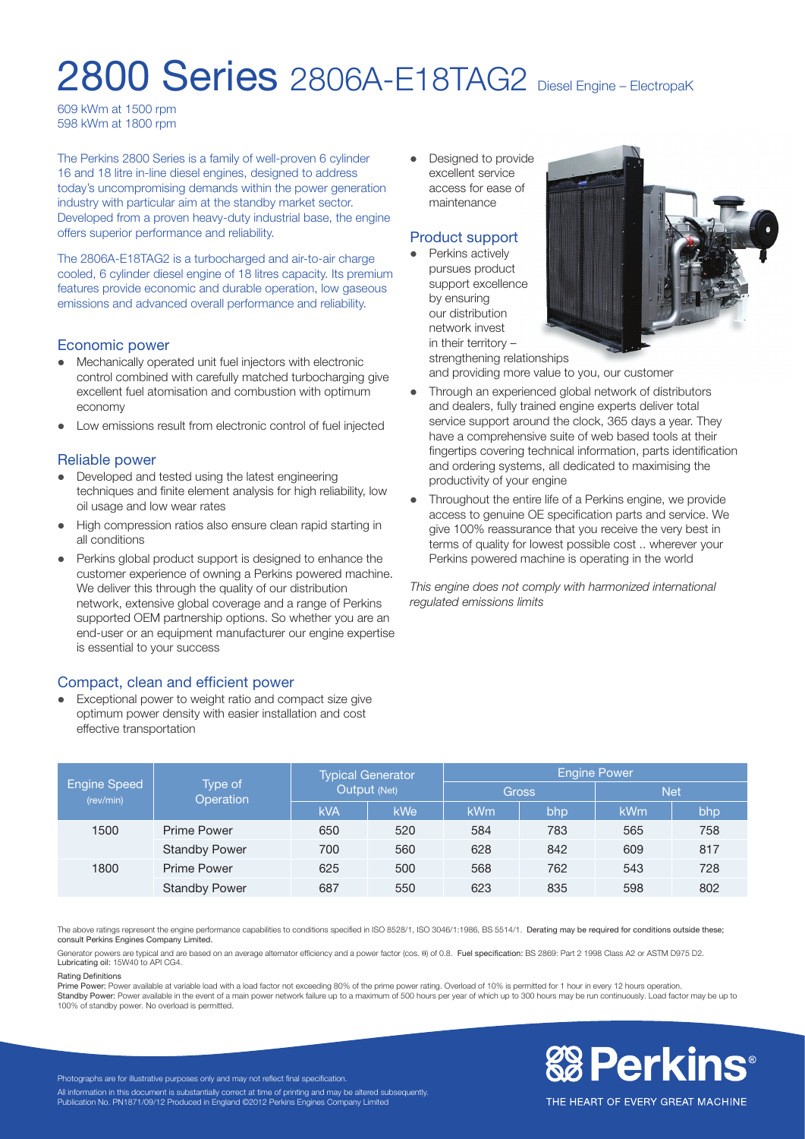# 2800 Series 2806A-E18TAG2 Diesel Engine – ElectropaK

609 kWm at 1500 rpm 598 kWm at 1800 rpm

The Perkins 2800 Series is a family of well-proven 6 cylinder 16 and 18 litre in-line diesel engines, designed to address today's uncompromising demands within the power generation industry with particular aim at the standby market sector. Developed from a proven heavy-duty industrial base, the engine offers superior performance and reliability.

The 2806A-E18TAG2 is a turbocharged and air-to-air charge cooled, 6 cylinder diesel engine of 18 litres capacity. Its premium features provide economic and durable operation, low gaseous emissions and advanced overall performance and reliability.

#### Economic power

- Mechanically operated unit fuel injectors with electronic control combined with carefully matched turbocharging give excellent fuel atomisation and combustion with optimum economy
- Low emissions result from electronic control of fuel injected

#### Reliable power

- Developed and tested using the latest engineering techniques and finite element analysis for high reliability, low oil usage and low wear rates
- High compression ratios also ensure clean rapid starting in all conditions
- Perkins global product support is designed to enhance the customer experience of owning a Perkins powered machine. We deliver this through the quality of our distribution network, extensive global coverage and a range of Perkins supported OEM partnership options. So whether you are an end-user or an equipment manufacturer our engine expertise is essential to your success

#### Compact, clean and efficient power

Exceptional power to weight ratio and compact size give optimum power density with easier installation and cost effective transportation

• Designed to provide excellent service access for ease of maintenance

#### Product support

 $\bullet$  Perkins actively pursues product support excellence by ensuring our distribution network invest in their territory –



strengthening relationships and providing more value to you, our customer

- Through an experienced global network of distributors and dealers, fully trained engine experts deliver total service support around the clock, 365 days a year. They have a comprehensive suite of web based tools at their fingertips covering technical information, parts identification and ordering systems, all dedicated to maximising the productivity of your engine
- Throughout the entire life of a Perkins engine, we provide access to genuine OE specification parts and service. We give 100% reassurance that you receive the very best in terms of quality for lowest possible cost .. wherever your Perkins powered machine is operating in the world

*This engine does not comply with harmonized international regulated emissions limits*

|                                  | Type of<br>Operation | <b>Typical Generator</b><br>Output (Net) |            | <b>Engine Power</b> |     |            |     |
|----------------------------------|----------------------|------------------------------------------|------------|---------------------|-----|------------|-----|
| <b>Engine Speed</b><br>(rev/min) |                      |                                          |            | <b>Gross</b>        |     | <b>Net</b> |     |
|                                  |                      | <b>kVA</b>                               | <b>kWe</b> | kWm                 | bhp | kWm        | bhp |
| 1500                             | <b>Prime Power</b>   | 650                                      | 520        | 584                 | 783 | 565        | 758 |
|                                  | <b>Standby Power</b> | 700                                      | 560        | 628                 | 842 | 609        | 817 |
| 1800                             | Prime Power          | 625                                      | 500        | 568                 | 762 | 543        | 728 |
|                                  | <b>Standby Power</b> | 687                                      | 550        | 623                 | 835 | 598        | 802 |

The above ratings represent the engine performance capabilities to conditions specified in ISO 8528/1, ISO 3046/1:1986, BS 5514/1. Derating may be required for conditions outside these; consult Perkins Engines Company Limited.

Generator powers are typical and are based on an average alternator efficiency and a power factor (cos. θ) of 0.8. Fuel specification: BS 2869: Part 2 1998 Class A2 or ASTM D975 D2. Lubricating oil: 15W40 to API CG4.

#### Rating Definitions

Prime Power: Power available at variable load with a load factor not exceeding 80% of the prime power rating. Overload of 10% is permitted for 1 hour in every 12 hours operation.

Standby Power: Power available in the event of a main power network failure up to a maximum of 500 hours per year of which up to 300 hours may be run continuously. Load factor may be up to 100% of standby power. No overload is permitted.



Photographs are for illustrative purposes only and may not reflect final specification. All information in this document is substantially correct at time of printing and may be altered subsequently Publication No. PN1871/09/12 Produced in England ©2012 Perkins Engines Company Limited